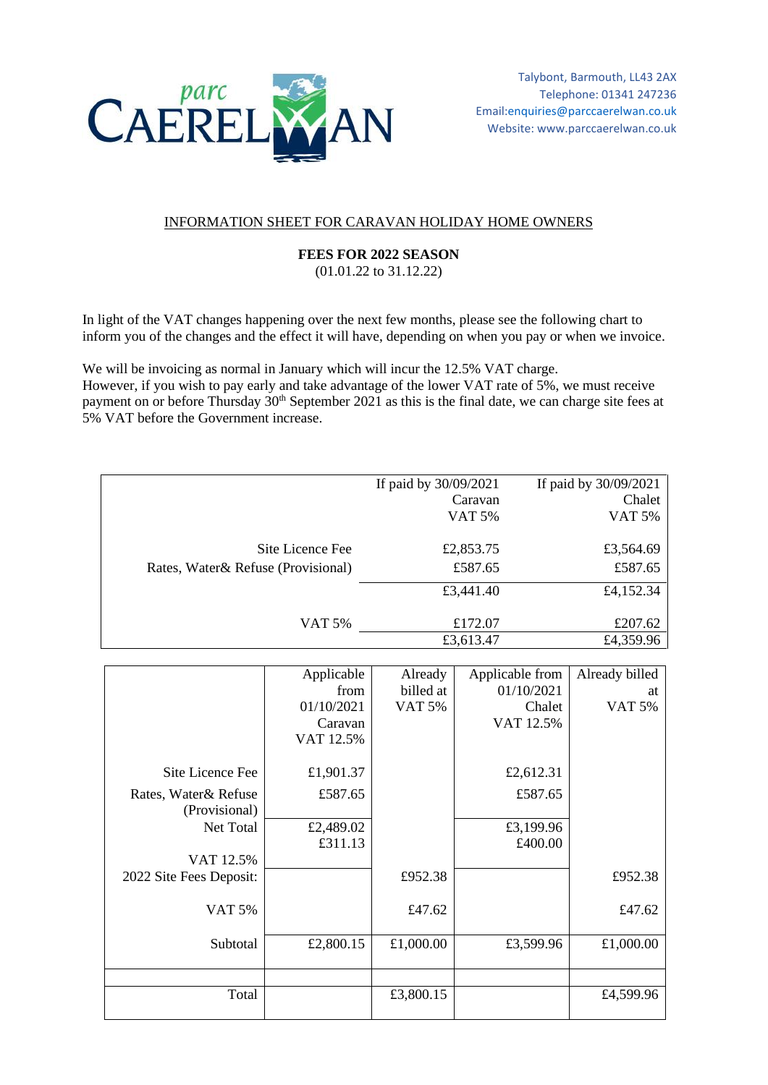

## INFORMATION SHEET FOR CARAVAN HOLIDAY HOME OWNERS

## **FEES FOR 2022 SEASON**

(01.01.22 to 31.12.22)

In light of the VAT changes happening over the next few months, please see the following chart to inform you of the changes and the effect it will have, depending on when you pay or when we invoice.

We will be invoicing as normal in January which will incur the 12.5% VAT charge. However, if you wish to pay early and take advantage of the lower VAT rate of 5%, we must receive payment on or before Thursday 30<sup>th</sup> September 2021 as this is the final date, we can charge site fees at 5% VAT before the Government increase.

|                                     | If paid by 30/09/2021 | If paid by 30/09/2021 |
|-------------------------------------|-----------------------|-----------------------|
|                                     | Caravan               | Chalet                |
|                                     | <b>VAT 5%</b>         | <b>VAT 5%</b>         |
|                                     |                       |                       |
|                                     |                       |                       |
| Site Licence Fee                    | £2,853.75             | £3,564.69             |
| Rates, Water & Refuse (Provisional) | £587.65               | £587.65               |
|                                     |                       |                       |
|                                     | £3,441.40             | £4,152.34             |
|                                     |                       |                       |
| VAT 5%                              | £172.07               | £207.62               |
|                                     | £3,613.47             | £4,359.96             |
|                                     |                       |                       |

|                         | Applicable | Already       | Applicable from | Already billed |
|-------------------------|------------|---------------|-----------------|----------------|
|                         | from       | billed at     | 01/10/2021      | at             |
|                         | 01/10/2021 | <b>VAT 5%</b> | Chalet          | <b>VAT 5%</b>  |
|                         | Caravan    |               | VAT 12.5%       |                |
|                         | VAT 12.5%  |               |                 |                |
|                         |            |               |                 |                |
| Site Licence Fee        | £1,901.37  |               | £2,612.31       |                |
| Rates, Water & Refuse   | £587.65    |               | £587.65         |                |
| (Provisional)           |            |               |                 |                |
| Net Total               | £2,489.02  |               | £3,199.96       |                |
|                         | £311.13    |               | £400.00         |                |
| VAT 12.5%               |            |               |                 |                |
| 2022 Site Fees Deposit: |            | £952.38       |                 | £952.38        |
|                         |            |               |                 |                |
| <b>VAT 5%</b>           |            | £47.62        |                 | £47.62         |
|                         |            |               |                 |                |
| Subtotal                | £2,800.15  | £1,000.00     | £3,599.96       | £1,000.00      |
|                         |            |               |                 |                |
|                         |            |               |                 |                |
| Total                   |            | £3,800.15     |                 | £4,599.96      |
|                         |            |               |                 |                |